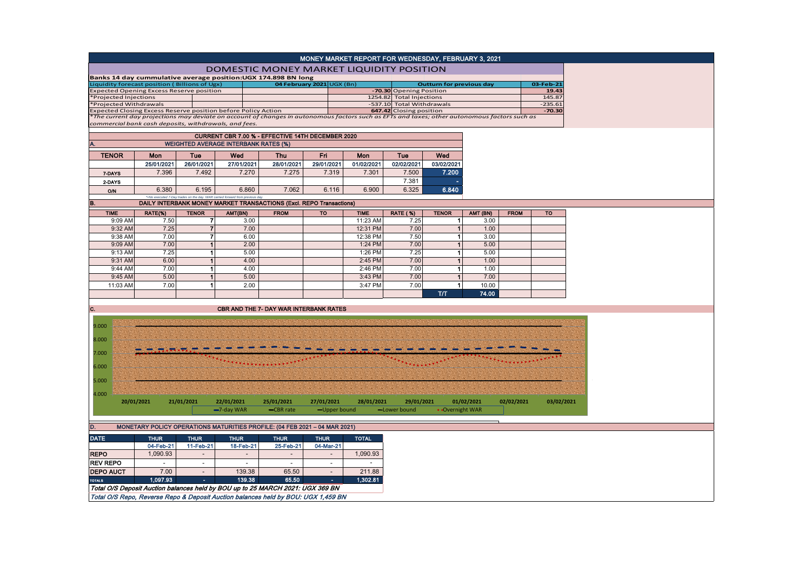|                                                                                |                |                                |                                                                            |                                                                                   |                           | MONEY MARKET REPORT FOR WEDNESDAY, FEBRUARY 3, 2021                                                                                           |                                                      |                                 |                  |             |                       |
|--------------------------------------------------------------------------------|----------------|--------------------------------|----------------------------------------------------------------------------|-----------------------------------------------------------------------------------|---------------------------|-----------------------------------------------------------------------------------------------------------------------------------------------|------------------------------------------------------|---------------------------------|------------------|-------------|-----------------------|
|                                                                                |                |                                |                                                                            |                                                                                   |                           | DOMESTIC MONEY MARKET LIQUIDITY POSITION                                                                                                      |                                                      |                                 |                  |             |                       |
| Banks 14 day cummulative average position:UGX 174.898 BN long                  |                |                                |                                                                            |                                                                                   |                           |                                                                                                                                               |                                                      |                                 |                  |             |                       |
| Liquidity forecast position (Billions of Ugx)                                  |                |                                |                                                                            |                                                                                   | 04 February 2021 UGX (Bn) |                                                                                                                                               |                                                      | <b>Outturn for previous day</b> |                  |             | 03-Feb-21             |
| <b>Expected Opening Excess Reserve position</b>                                |                |                                |                                                                            |                                                                                   |                           |                                                                                                                                               | -70.30 Opening Position                              |                                 |                  |             | 19.43                 |
| Projected Injections                                                           |                |                                |                                                                            |                                                                                   |                           |                                                                                                                                               | 1254.82 Total Injections                             |                                 |                  |             | 145.87                |
| *Projected Withdrawals                                                         |                |                                |                                                                            |                                                                                   |                           |                                                                                                                                               | -537.10 Total Withdrawals<br>647.42 Closing position |                                 |                  |             | $-235.61$<br>$-70.30$ |
| Expected Closing Excess Reserve position before Policy Action                  |                |                                |                                                                            |                                                                                   |                           | *The current day projections may deviate on account of changes in autonomous factors such as EFTs and taxes; other autonomous factors such as |                                                      |                                 |                  |             |                       |
| commercial bank cash deposits, withdrawals, and fees.                          |                |                                |                                                                            |                                                                                   |                           |                                                                                                                                               |                                                      |                                 |                  |             |                       |
|                                                                                |                |                                |                                                                            |                                                                                   |                           |                                                                                                                                               |                                                      |                                 |                  |             |                       |
|                                                                                |                |                                | <b>WEIGHTED AVERAGE INTERBANK RATES (%)</b>                                | CURRENT CBR 7.00 % - EFFECTIVE 14TH DECEMBER 2020                                 |                           |                                                                                                                                               |                                                      |                                 |                  |             |                       |
|                                                                                |                |                                |                                                                            |                                                                                   |                           |                                                                                                                                               |                                                      |                                 |                  |             |                       |
| <b>TENOR</b>                                                                   | Mon            | Tue                            | Wed                                                                        | <b>Thu</b>                                                                        | Fri                       | Mon                                                                                                                                           | Tue                                                  | Wed                             |                  |             |                       |
|                                                                                | 25/01/2021     | 26/01/2021                     | 27/01/2021                                                                 | 28/01/2021                                                                        | 29/01/2021                | 01/02/2021                                                                                                                                    | 02/02/2021                                           | 03/02/2021                      |                  |             |                       |
| 7-DAYS                                                                         | 7.396          | 7.492                          | 7.270                                                                      | 7.275                                                                             | 7.319                     | 7.301                                                                                                                                         | 7.500                                                | 7.200                           |                  |             |                       |
| 2-DAYS                                                                         |                |                                |                                                                            |                                                                                   |                           |                                                                                                                                               | 7.381                                                |                                 |                  |             |                       |
| 0/N                                                                            | 6.380          | 6.195                          | 6.860                                                                      | 7.062                                                                             | 6.116                     | 6.900                                                                                                                                         | 6.325                                                | 6.840                           |                  |             |                       |
| B.                                                                             |                |                                | *=No executed 7-Day trades on the day. WAR carried forward from previous o | DAILY INTERBANK MONEY MARKET TRANSACTIONS (Excl. REPO Transactions)               |                           |                                                                                                                                               |                                                      |                                 |                  |             |                       |
|                                                                                |                |                                |                                                                            |                                                                                   |                           |                                                                                                                                               |                                                      |                                 |                  |             |                       |
| <b>TIME</b><br>9:09 AM                                                         | RATE(%)        | <b>TENOR</b><br>$\overline{7}$ | AMT(BN)<br>3.00                                                            | <b>FROM</b>                                                                       | <b>TO</b>                 | <b>TIME</b><br>11:23 AM                                                                                                                       | RATE (%)<br>7.25                                     | <b>TENOR</b><br>1 <sup>1</sup>  | AMT (BN)<br>3.00 | <b>FROM</b> | TO                    |
| 9:32 AM                                                                        | 7.50<br>7.25   | $\overline{7}$                 | 7.00                                                                       |                                                                                   |                           | 12:31 PM                                                                                                                                      | 7.00                                                 | $\vert$                         | 1.00             |             |                       |
|                                                                                | 7.00           | $\overline{7}$                 |                                                                            |                                                                                   |                           |                                                                                                                                               | 7.50                                                 |                                 |                  |             |                       |
| 9:38 AM<br>9:09 AM                                                             | 7.00           | $\mathbf{1}$                   | 6.00<br>2.00                                                               |                                                                                   |                           | 12:38 PM<br>1:24 PM                                                                                                                           | 7.00                                                 | $\mathbf 1$<br>$\mathbf{1}$     | 3.00<br>5.00     |             |                       |
|                                                                                | 7.25           | $\mathbf{1}$                   |                                                                            |                                                                                   |                           |                                                                                                                                               | 7.25                                                 | $\vert$ 1                       |                  |             |                       |
| 9:13 AM                                                                        |                |                                | 5.00                                                                       |                                                                                   |                           | 1:26 PM                                                                                                                                       |                                                      |                                 | 5.00             |             |                       |
| 9:31 AM                                                                        | 6.00           | $\mathbf{1}$                   | 4.00                                                                       |                                                                                   |                           | 2:45 PM                                                                                                                                       | 7.00                                                 | $\mathbf{1}$                    | 1.00             |             |                       |
| 9:44 AM                                                                        | 7.00           | $\vert$ 1                      | 4.00                                                                       |                                                                                   |                           | 2:46 PM                                                                                                                                       | 7.00                                                 | 1 <sup>1</sup>                  | 1.00             |             |                       |
| 9:45 AM                                                                        | 5.00           | $\mathbf{1}$                   | 5.00                                                                       |                                                                                   |                           | 3:43 PM                                                                                                                                       | 7.00                                                 | $\mathbf{1}$                    | 7.00             |             |                       |
| 11:03 AM                                                                       | 7.00           | $\mathbf{1}$                   | 2.00                                                                       |                                                                                   |                           | 3:47 PM                                                                                                                                       | 7.00                                                 | $\vert$ 1                       | 10.00            |             |                       |
|                                                                                |                |                                |                                                                            |                                                                                   |                           |                                                                                                                                               |                                                      | TЛ                              | 74.00            |             |                       |
| C.                                                                             |                |                                |                                                                            | <b>CBR AND THE 7- DAY WAR INTERBANK RATES</b>                                     |                           |                                                                                                                                               |                                                      |                                 |                  |             |                       |
|                                                                                |                |                                |                                                                            |                                                                                   |                           |                                                                                                                                               |                                                      |                                 |                  |             |                       |
| 9.000                                                                          |                |                                |                                                                            |                                                                                   |                           |                                                                                                                                               |                                                      |                                 |                  |             |                       |
|                                                                                |                |                                |                                                                            |                                                                                   |                           |                                                                                                                                               |                                                      |                                 |                  |             |                       |
| 8.000                                                                          |                |                                |                                                                            |                                                                                   |                           |                                                                                                                                               |                                                      |                                 |                  |             |                       |
|                                                                                |                |                                |                                                                            |                                                                                   |                           |                                                                                                                                               |                                                      |                                 |                  |             |                       |
| 7.000                                                                          |                |                                |                                                                            |                                                                                   |                           |                                                                                                                                               |                                                      |                                 |                  |             |                       |
| 6.000                                                                          |                |                                |                                                                            |                                                                                   |                           |                                                                                                                                               |                                                      |                                 |                  |             |                       |
|                                                                                |                |                                |                                                                            |                                                                                   |                           |                                                                                                                                               |                                                      |                                 |                  |             |                       |
| 5.000                                                                          |                |                                |                                                                            |                                                                                   |                           |                                                                                                                                               |                                                      |                                 |                  |             |                       |
| 4.000                                                                          |                |                                |                                                                            |                                                                                   |                           |                                                                                                                                               |                                                      |                                 |                  |             |                       |
| 20/01/2021                                                                     |                | 21/01/2021                     | 22/01/2021                                                                 | 25/01/2021                                                                        | 27/01/2021                | 28/01/2021                                                                                                                                    | 29/01/2021                                           |                                 | 01/02/2021       | 02/02/2021  | 03/02/2021            |
|                                                                                |                |                                | -7-day WAR                                                                 | -CBR rate                                                                         | -Upper bound              |                                                                                                                                               | -Lower bound                                         | • Overnight WAR                 |                  |             |                       |
|                                                                                |                |                                |                                                                            |                                                                                   |                           |                                                                                                                                               |                                                      |                                 |                  |             |                       |
| D.                                                                             |                |                                |                                                                            | MONETARY POLICY OPERATIONS MATURITIES PROFILE: (04 FEB 2021 - 04 MAR 2021)        |                           |                                                                                                                                               |                                                      |                                 |                  |             |                       |
|                                                                                |                |                                |                                                                            |                                                                                   |                           |                                                                                                                                               |                                                      |                                 |                  |             |                       |
| <b>DATE</b>                                                                    | <b>THUR</b>    | <b>THUR</b>                    | <b>THUR</b>                                                                | <b>THUR</b>                                                                       | <b>THUR</b>               | <b>TOTAL</b>                                                                                                                                  |                                                      |                                 |                  |             |                       |
|                                                                                | 04-Feb-21      | 11-Feb-21                      | 18-Feb-21                                                                  | 25-Feb-21                                                                         | 04-Mar-21                 |                                                                                                                                               |                                                      |                                 |                  |             |                       |
| <b>REPO</b>                                                                    | 1,090.93       |                                |                                                                            |                                                                                   |                           | 1,090.93                                                                                                                                      |                                                      |                                 |                  |             |                       |
| <b>REV REPO</b>                                                                | $\mathbb{L}^+$ | $\overline{\phantom{a}}$       | $\blacksquare$                                                             | $\overline{\phantom{a}}$                                                          | $\overline{\phantom{a}}$  | $\sim$                                                                                                                                        |                                                      |                                 |                  |             |                       |
| <b>DEPO AUCT</b>                                                               | 7.00           | $\blacksquare$                 | 139.38                                                                     | 65.50                                                                             | $\blacksquare$            | 211.88                                                                                                                                        |                                                      |                                 |                  |             |                       |
| <b>TOTALS</b>                                                                  | 1,097.93       | $\sim$                         | 139.38                                                                     | 65.50                                                                             | $\sim$                    | 1,302.81                                                                                                                                      |                                                      |                                 |                  |             |                       |
| Total O/S Deposit Auction balances held by BOU up to 25 MARCH 2021: UGX 369 BN |                |                                |                                                                            |                                                                                   |                           |                                                                                                                                               |                                                      |                                 |                  |             |                       |
|                                                                                |                |                                |                                                                            | Total O/S Repo, Reverse Repo & Deposit Auction balances held by BOU: UGX 1,459 BN |                           |                                                                                                                                               |                                                      |                                 |                  |             |                       |